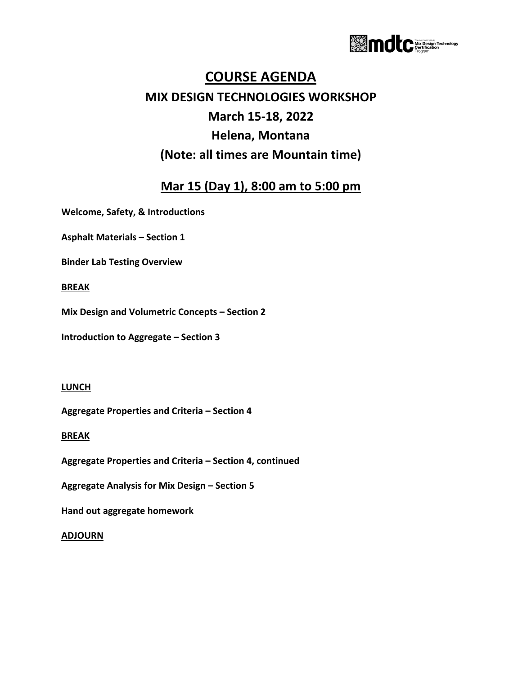

# **COURSE AGENDA MIX DESIGN TECHNOLOGIES WORKSHOP March 15-18, 2022 Helena, Montana (Note: all times are Mountain time)**

# **Mar 15 (Day 1), 8:00 am to 5:00 pm**

**Welcome, Safety, & Introductions** 

**Asphalt Materials – Section 1**

**Binder Lab Testing Overview**

**BREAK**

**Mix Design and Volumetric Concepts – Section 2**

**Introduction to Aggregate – Section 3**

### **LUNCH**

**Aggregate Properties and Criteria – Section 4**

**BREAK**

**Aggregate Properties and Criteria – Section 4, continued**

**Aggregate Analysis for Mix Design – Section 5** 

**Hand out aggregate homework**

**ADJOURN**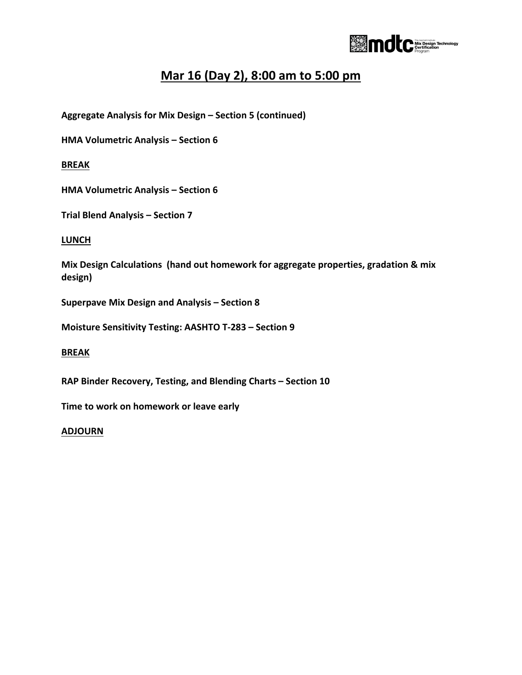

# **Mar 16 (Day 2), 8:00 am to 5:00 pm**

**Aggregate Analysis for Mix Design – Section 5 (continued)**

**HMA Volumetric Analysis – Section 6** 

**BREAK**

**HMA Volumetric Analysis – Section 6** 

**Trial Blend Analysis – Section 7**

**LUNCH**

**Mix Design Calculations (hand out homework for aggregate properties, gradation & mix design)**

**Superpave Mix Design and Analysis – Section 8**

**Moisture Sensitivity Testing: AASHTO T-283 – Section 9**

### **BREAK**

**RAP Binder Recovery, Testing, and Blending Charts – Section 10**

**Time to work on homework or leave early**

### **ADJOURN**